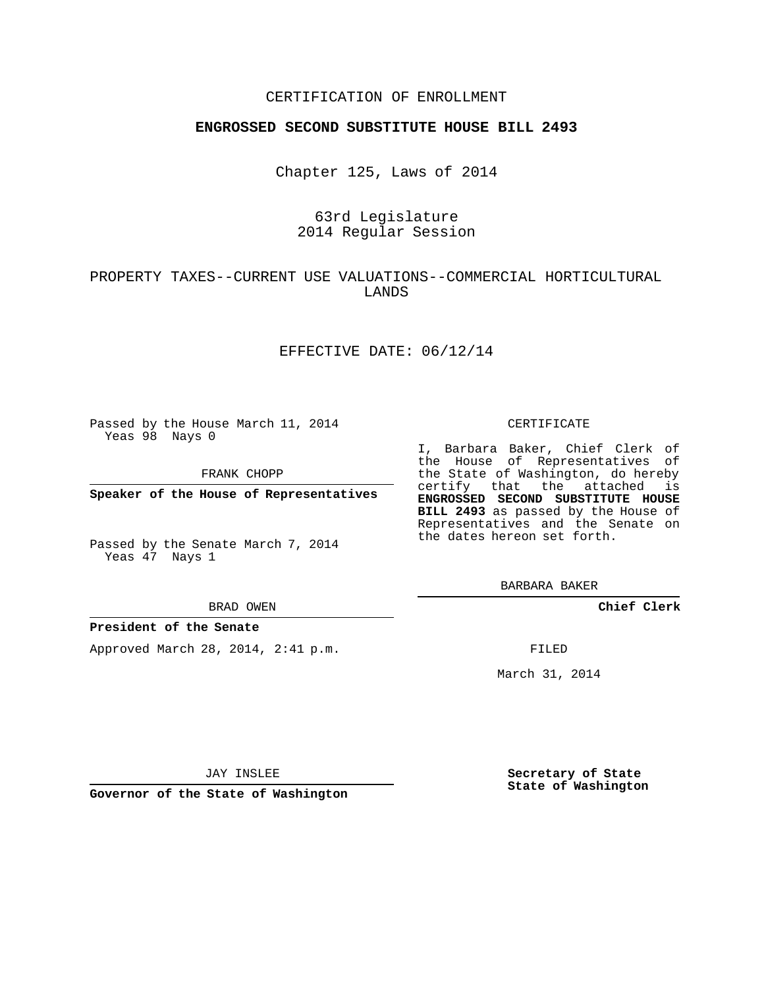### CERTIFICATION OF ENROLLMENT

### **ENGROSSED SECOND SUBSTITUTE HOUSE BILL 2493**

Chapter 125, Laws of 2014

# 63rd Legislature 2014 Regular Session

# PROPERTY TAXES--CURRENT USE VALUATIONS--COMMERCIAL HORTICULTURAL LANDS

### EFFECTIVE DATE: 06/12/14

Passed by the House March 11, 2014 Yeas 98 Nays 0

FRANK CHOPP

**Speaker of the House of Representatives**

Passed by the Senate March 7, 2014 Yeas 47 Nays 1

#### BRAD OWEN

### **President of the Senate**

Approved March 28, 2014, 2:41 p.m.

#### CERTIFICATE

I, Barbara Baker, Chief Clerk of the House of Representatives of the State of Washington, do hereby certify that the attached is **ENGROSSED SECOND SUBSTITUTE HOUSE BILL 2493** as passed by the House of Representatives and the Senate on the dates hereon set forth.

BARBARA BAKER

**Chief Clerk**

FILED

March 31, 2014

JAY INSLEE

**Governor of the State of Washington**

**Secretary of State State of Washington**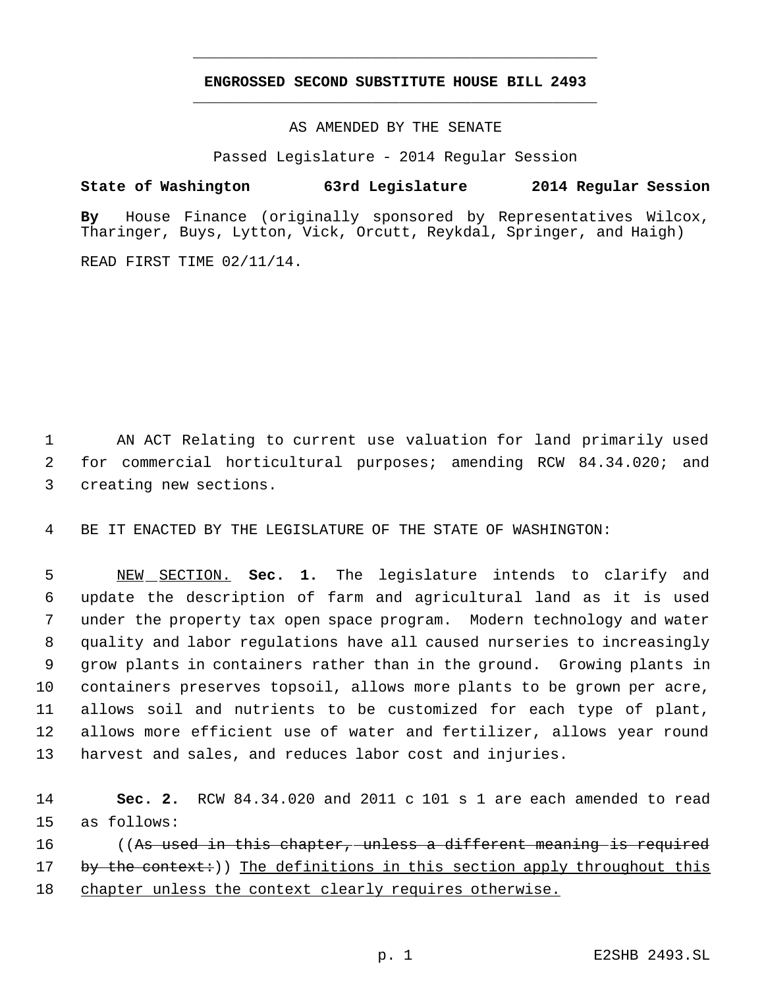# **ENGROSSED SECOND SUBSTITUTE HOUSE BILL 2493** \_\_\_\_\_\_\_\_\_\_\_\_\_\_\_\_\_\_\_\_\_\_\_\_\_\_\_\_\_\_\_\_\_\_\_\_\_\_\_\_\_\_\_\_\_

\_\_\_\_\_\_\_\_\_\_\_\_\_\_\_\_\_\_\_\_\_\_\_\_\_\_\_\_\_\_\_\_\_\_\_\_\_\_\_\_\_\_\_\_\_

AS AMENDED BY THE SENATE

Passed Legislature - 2014 Regular Session

## **State of Washington 63rd Legislature 2014 Regular Session**

**By** House Finance (originally sponsored by Representatives Wilcox, Tharinger, Buys, Lytton, Vick, Orcutt, Reykdal, Springer, and Haigh)

READ FIRST TIME 02/11/14.

 1 AN ACT Relating to current use valuation for land primarily used 2 for commercial horticultural purposes; amending RCW 84.34.020; and 3 creating new sections.

4 BE IT ENACTED BY THE LEGISLATURE OF THE STATE OF WASHINGTON:

 NEW SECTION. **Sec. 1.** The legislature intends to clarify and update the description of farm and agricultural land as it is used under the property tax open space program. Modern technology and water quality and labor regulations have all caused nurseries to increasingly grow plants in containers rather than in the ground. Growing plants in containers preserves topsoil, allows more plants to be grown per acre, allows soil and nutrients to be customized for each type of plant, allows more efficient use of water and fertilizer, allows year round harvest and sales, and reduces labor cost and injuries.

14 **Sec. 2.** RCW 84.34.020 and 2011 c 101 s 1 are each amended to read 15 as follows: 16 ((As used in this chapter, unless a different meaning is required

17 by the context:)) The definitions in this section apply throughout this 18 chapter unless the context clearly requires otherwise.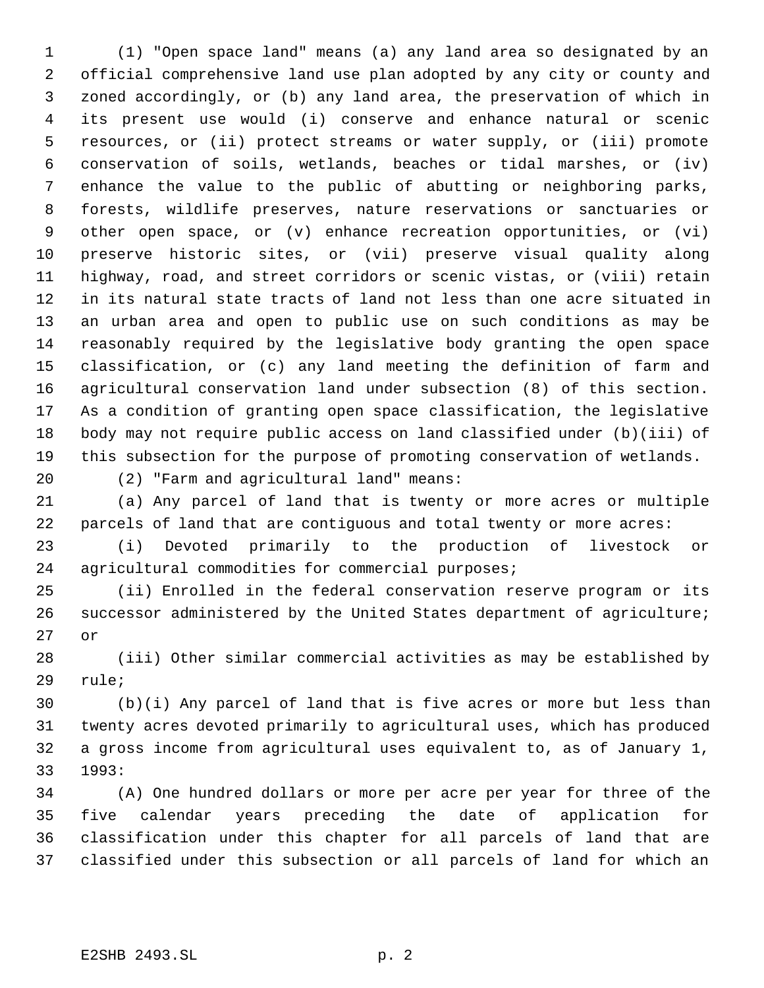(1) "Open space land" means (a) any land area so designated by an official comprehensive land use plan adopted by any city or county and zoned accordingly, or (b) any land area, the preservation of which in its present use would (i) conserve and enhance natural or scenic resources, or (ii) protect streams or water supply, or (iii) promote conservation of soils, wetlands, beaches or tidal marshes, or (iv) enhance the value to the public of abutting or neighboring parks, forests, wildlife preserves, nature reservations or sanctuaries or other open space, or (v) enhance recreation opportunities, or (vi) preserve historic sites, or (vii) preserve visual quality along highway, road, and street corridors or scenic vistas, or (viii) retain in its natural state tracts of land not less than one acre situated in an urban area and open to public use on such conditions as may be reasonably required by the legislative body granting the open space classification, or (c) any land meeting the definition of farm and agricultural conservation land under subsection (8) of this section. As a condition of granting open space classification, the legislative body may not require public access on land classified under (b)(iii) of this subsection for the purpose of promoting conservation of wetlands.

(2) "Farm and agricultural land" means:

 (a) Any parcel of land that is twenty or more acres or multiple parcels of land that are contiguous and total twenty or more acres:

 (i) Devoted primarily to the production of livestock or agricultural commodities for commercial purposes;

 (ii) Enrolled in the federal conservation reserve program or its successor administered by the United States department of agriculture; or

 (iii) Other similar commercial activities as may be established by rule;

 (b)(i) Any parcel of land that is five acres or more but less than twenty acres devoted primarily to agricultural uses, which has produced a gross income from agricultural uses equivalent to, as of January 1, 1993:

 (A) One hundred dollars or more per acre per year for three of the five calendar years preceding the date of application for classification under this chapter for all parcels of land that are classified under this subsection or all parcels of land for which an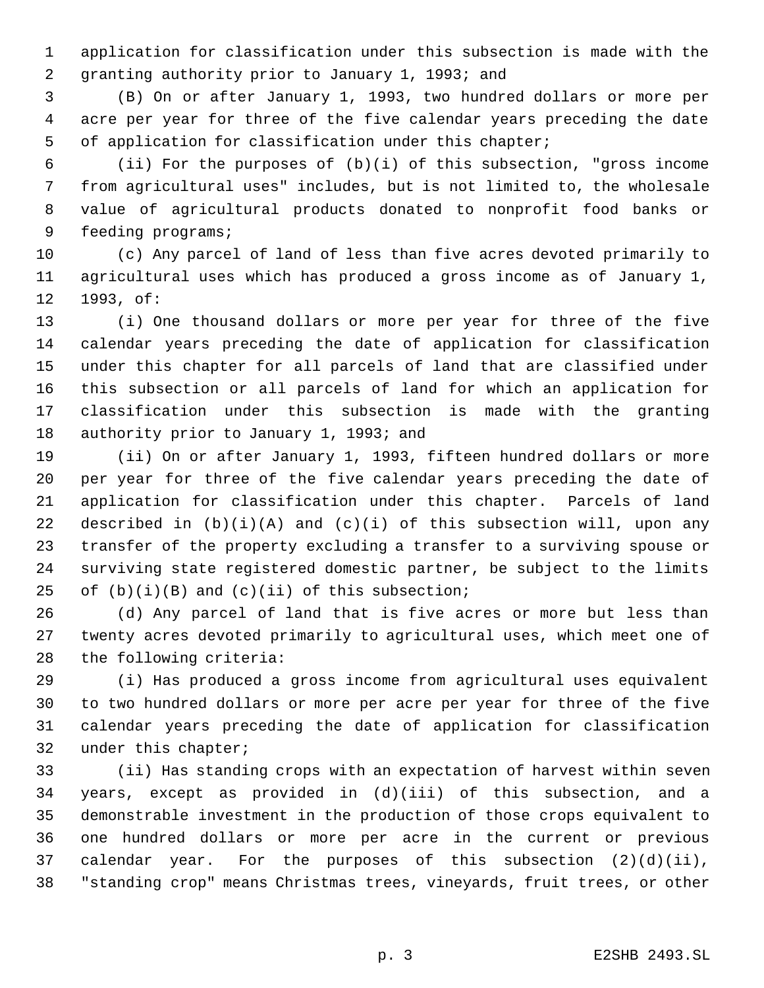application for classification under this subsection is made with the granting authority prior to January 1, 1993; and

 (B) On or after January 1, 1993, two hundred dollars or more per acre per year for three of the five calendar years preceding the date of application for classification under this chapter;

 (ii) For the purposes of (b)(i) of this subsection, "gross income from agricultural uses" includes, but is not limited to, the wholesale value of agricultural products donated to nonprofit food banks or feeding programs;

 (c) Any parcel of land of less than five acres devoted primarily to agricultural uses which has produced a gross income as of January 1, 1993, of:

 (i) One thousand dollars or more per year for three of the five calendar years preceding the date of application for classification under this chapter for all parcels of land that are classified under this subsection or all parcels of land for which an application for classification under this subsection is made with the granting 18 authority prior to January 1, 1993; and

 (ii) On or after January 1, 1993, fifteen hundred dollars or more per year for three of the five calendar years preceding the date of application for classification under this chapter. Parcels of land 22 described in  $(b)(i)(A)$  and  $(c)(i)$  of this subsection will, upon any transfer of the property excluding a transfer to a surviving spouse or surviving state registered domestic partner, be subject to the limits 25 of  $(b)(i)(B)$  and  $(c)(ii)$  of this subsection;

 (d) Any parcel of land that is five acres or more but less than twenty acres devoted primarily to agricultural uses, which meet one of the following criteria:

 (i) Has produced a gross income from agricultural uses equivalent to two hundred dollars or more per acre per year for three of the five calendar years preceding the date of application for classification under this chapter;

 (ii) Has standing crops with an expectation of harvest within seven years, except as provided in (d)(iii) of this subsection, and a demonstrable investment in the production of those crops equivalent to one hundred dollars or more per acre in the current or previous calendar year. For the purposes of this subsection (2)(d)(ii), "standing crop" means Christmas trees, vineyards, fruit trees, or other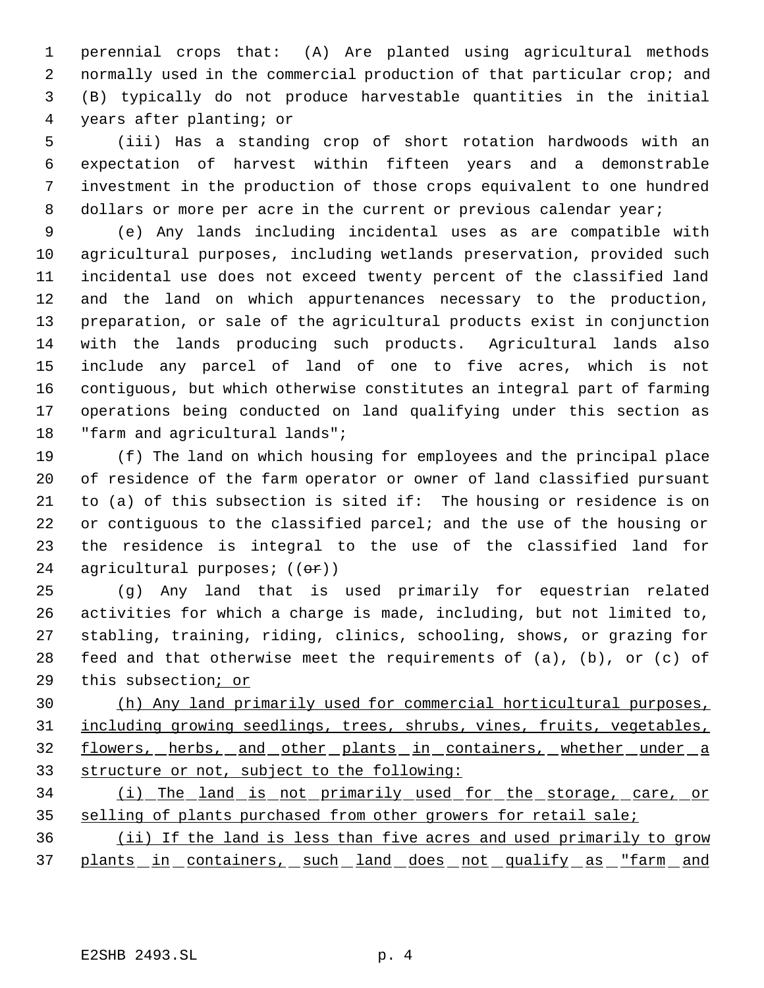perennial crops that: (A) Are planted using agricultural methods normally used in the commercial production of that particular crop; and (B) typically do not produce harvestable quantities in the initial years after planting; or

 (iii) Has a standing crop of short rotation hardwoods with an expectation of harvest within fifteen years and a demonstrable investment in the production of those crops equivalent to one hundred 8 dollars or more per acre in the current or previous calendar year;

 (e) Any lands including incidental uses as are compatible with agricultural purposes, including wetlands preservation, provided such incidental use does not exceed twenty percent of the classified land and the land on which appurtenances necessary to the production, preparation, or sale of the agricultural products exist in conjunction with the lands producing such products. Agricultural lands also include any parcel of land of one to five acres, which is not contiguous, but which otherwise constitutes an integral part of farming operations being conducted on land qualifying under this section as "farm and agricultural lands";

 (f) The land on which housing for employees and the principal place of residence of the farm operator or owner of land classified pursuant to (a) of this subsection is sited if: The housing or residence is on or contiguous to the classified parcel; and the use of the housing or the residence is integral to the use of the classified land for 24 agricultural purposes; ((or))

 (g) Any land that is used primarily for equestrian related activities for which a charge is made, including, but not limited to, stabling, training, riding, clinics, schooling, shows, or grazing for feed and that otherwise meet the requirements of (a), (b), or (c) of this subsection; or

 (h) Any land primarily used for commercial horticultural purposes, including growing seedlings, trees, shrubs, vines, fruits, vegetables, 32 flowers, herbs, and other plants in containers, whether under a structure or not, subject to the following:

 (i) The land is not primarily used for the storage, care, or 35 selling of plants purchased from other growers for retail sale;

 (ii) If the land is less than five acres and used primarily to grow 37 plants in containers, such land does not qualify as "farm and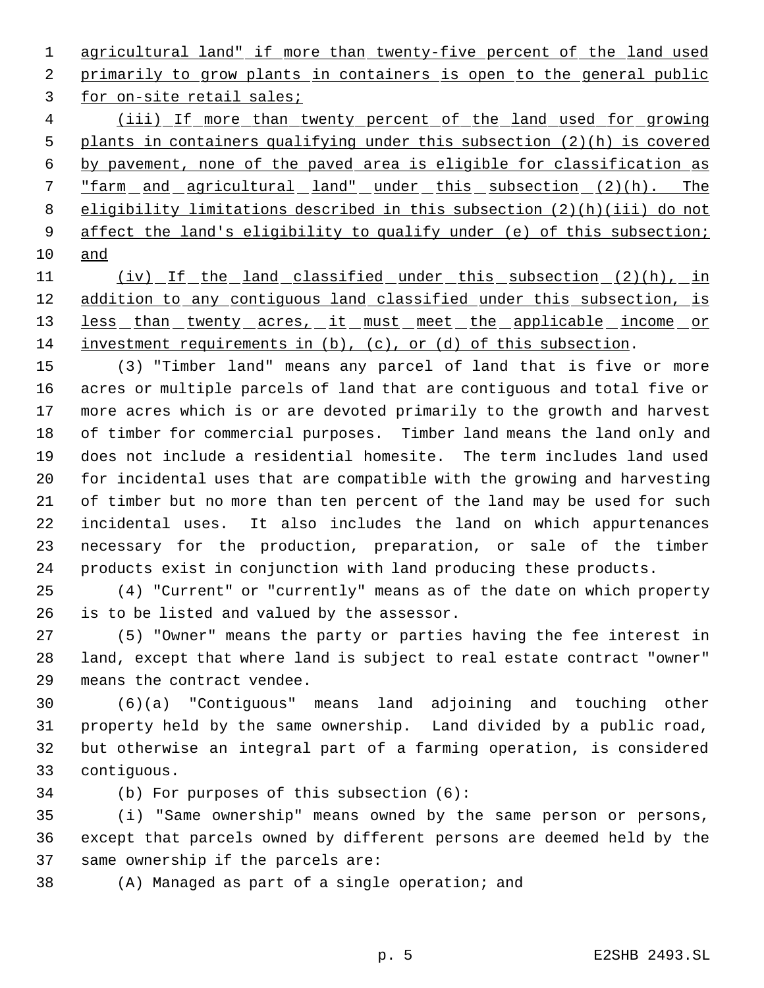agricultural land" if more than twenty-five percent of the land used 2 primarily to grow plants in containers is open to the general public for on-site retail sales;

 (iii) If more than twenty percent of the land used for growing plants in containers qualifying under this subsection (2)(h) is covered by pavement, none of the paved area is eligible for classification as "farm and agricultural land" under this subsection (2)(h). The eligibility limitations described in this subsection (2)(h)(iii) do not 9 affect the land's eligibility to qualify under (e) of this subsection; and

11 (iv) If the land classified under this subsection (2)(h), in 12 addition to any contiguous land classified under this subsection, is 13 less than twenty acres, it must meet the applicable income or investment requirements in (b), (c), or (d) of this subsection.

 (3) "Timber land" means any parcel of land that is five or more acres or multiple parcels of land that are contiguous and total five or more acres which is or are devoted primarily to the growth and harvest of timber for commercial purposes. Timber land means the land only and does not include a residential homesite. The term includes land used for incidental uses that are compatible with the growing and harvesting of timber but no more than ten percent of the land may be used for such incidental uses. It also includes the land on which appurtenances necessary for the production, preparation, or sale of the timber products exist in conjunction with land producing these products.

 (4) "Current" or "currently" means as of the date on which property is to be listed and valued by the assessor.

 (5) "Owner" means the party or parties having the fee interest in land, except that where land is subject to real estate contract "owner" means the contract vendee.

 (6)(a) "Contiguous" means land adjoining and touching other property held by the same ownership. Land divided by a public road, but otherwise an integral part of a farming operation, is considered contiguous.

(b) For purposes of this subsection (6):

 (i) "Same ownership" means owned by the same person or persons, except that parcels owned by different persons are deemed held by the same ownership if the parcels are:

(A) Managed as part of a single operation; and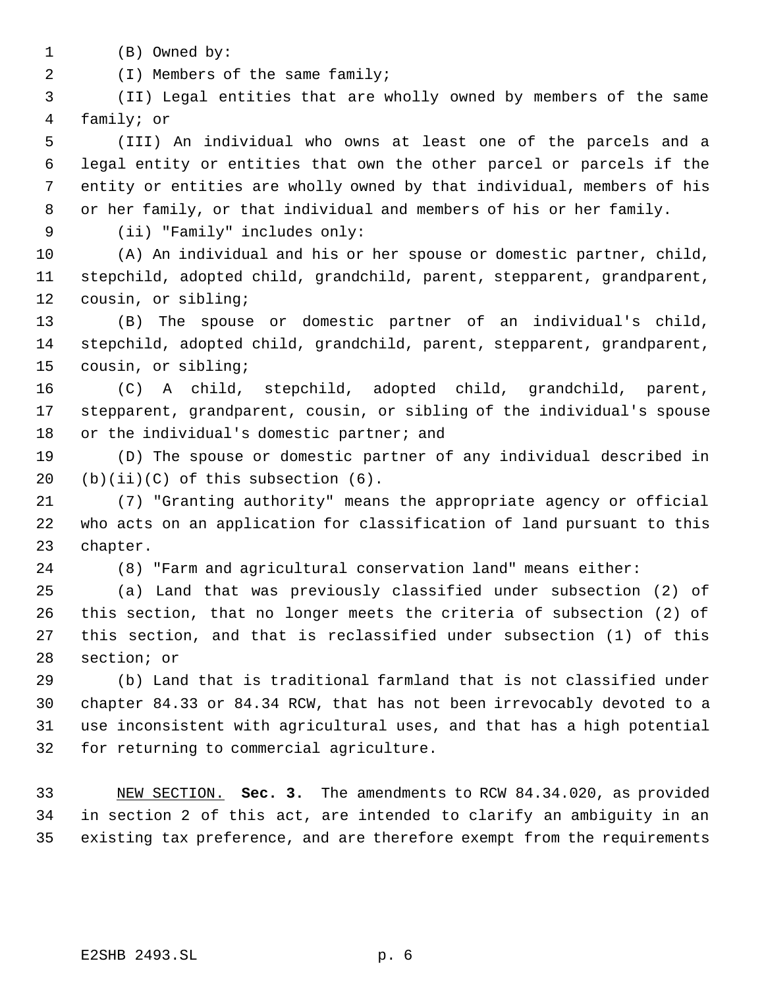- (B) Owned by:
- 2 (I) Members of the same family;

 (II) Legal entities that are wholly owned by members of the same family; or

 (III) An individual who owns at least one of the parcels and a legal entity or entities that own the other parcel or parcels if the entity or entities are wholly owned by that individual, members of his or her family, or that individual and members of his or her family.

(ii) "Family" includes only:

 (A) An individual and his or her spouse or domestic partner, child, stepchild, adopted child, grandchild, parent, stepparent, grandparent, cousin, or sibling;

 (B) The spouse or domestic partner of an individual's child, stepchild, adopted child, grandchild, parent, stepparent, grandparent, cousin, or sibling;

 (C) A child, stepchild, adopted child, grandchild, parent, stepparent, grandparent, cousin, or sibling of the individual's spouse 18 or the individual's domestic partner; and

 (D) The spouse or domestic partner of any individual described in 20  $(b)(ii)(C)$  of this subsection  $(6)$ .

 (7) "Granting authority" means the appropriate agency or official who acts on an application for classification of land pursuant to this chapter.

(8) "Farm and agricultural conservation land" means either:

 (a) Land that was previously classified under subsection (2) of this section, that no longer meets the criteria of subsection (2) of this section, and that is reclassified under subsection (1) of this section; or

 (b) Land that is traditional farmland that is not classified under chapter 84.33 or 84.34 RCW, that has not been irrevocably devoted to a use inconsistent with agricultural uses, and that has a high potential for returning to commercial agriculture.

 NEW SECTION. **Sec. 3.** The amendments to RCW 84.34.020, as provided in section 2 of this act, are intended to clarify an ambiguity in an existing tax preference, and are therefore exempt from the requirements